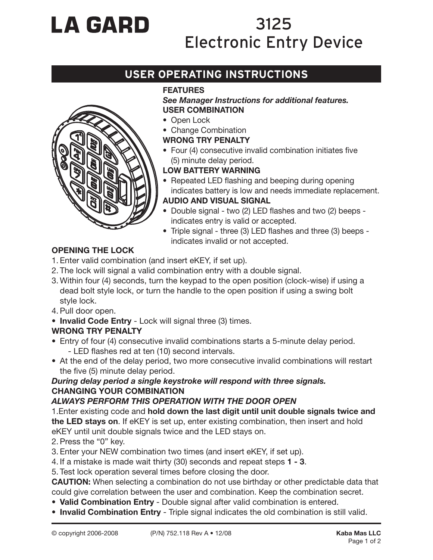# **LA GARD**

## 3125 Electronic Entry Device

### **USER OPERATING INSTRUCTIONS**

#### **FEATURES**

#### *See Manager Instructions for additional features.* **USER COMBINATION**

- Open Lock
- Change Combination

#### **WRONG TRY PENALTY**

• Four (4) consecutive invalid combination initiates five (5) minute delay period.

#### **LOW BATTERY WARNING**

- Repeated LED flashing and beeping during opening indicates battery is low and needs immediate replacement.
- **AUDIO AND VISUAL SIGNAL**
- Double signal two (2) LED flashes and two (2) beeps indicates entry is valid or accepted.
- Triple signal three (3) LED flashes and three (3) beeps indicates invalid or not accepted.

#### **OPENING THE LOCK**

- 1. Enter valid combination (and insert eKEY, if set up).
- 2. The lock will signal a valid combination entry with a double signal.
- 3. Within four (4) seconds, turn the keypad to the open position (clock-wise) if using a dead bolt style lock, or turn the handle to the open position if using a swing bolt style lock.
- 4. Pull door open.
- **Invalid Code Entry** Lock will signal three (3) times.

#### **WRONG TRY PENALTY**

- Entry of four (4) consecutive invalid combinations starts a 5-minute delay period. - LED flashes red at ten (10) second intervals.
- At the end of the delay period, two more consecutive invalid combinations will restart the five (5) minute delay period.

#### *During delay period a single keystroke will respond with three signals.* **CHANGING YOUR COMBINATION**

#### *ALWAYS PERFORM THIS OPERATION WITH THE DOOR OPEN*

1.Enter existing code and **hold down the last digit until unit double signals twice and the LED stays on**. If eKEY is set up, enter existing combination, then insert and hold eKEY until unit double signals twice and the LED stays on.

- 2. Press the "0" key.
- 3. Enter your NEW combination two times (and insert eKEY, if set up).
- 4. If a mistake is made wait thirty (30) seconds and repeat steps **1 3**.
- 5. Test lock operation several times before closing the door.

**CAUTION:** When selecting a combination do not use birthday or other predictable data that could give correlation between the user and combination. Keep the combination secret.

- **Valid Combination Entry** Double signal after valid combination is entered.
- **Invalid Combination Entry** Triple signal indicates the old combination is still valid.